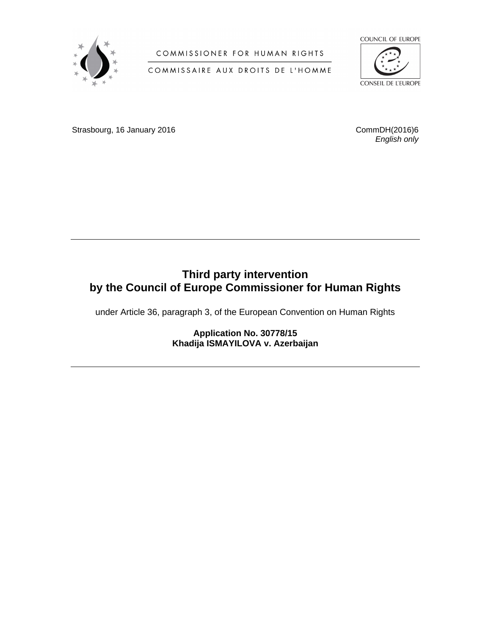

COMMISSIONER FOR HUMAN RIGHTS

COMMISSAIRE AUX DROITS DE L'HOMME



Strasbourg, 16 January 2016 **CommDH**(2016)6

*English only*

# **Third party intervention by the Council of Europe Commissioner for Human Rights**

under Article 36, paragraph 3, of the European Convention on Human Rights

**Application No. 30778/15 Khadija ISMAYILOVA v. Azerbaijan**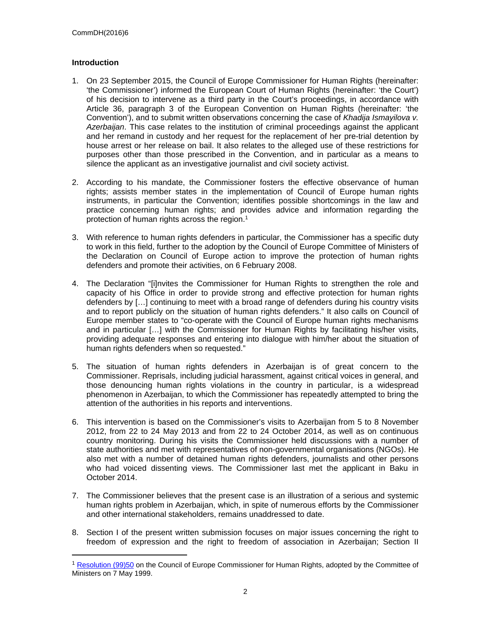## **Introduction**

- 1. On 23 September 2015, the Council of Europe Commissioner for Human Rights (hereinafter: 'the Commissioner') informed the European Court of Human Rights (hereinafter: 'the Court') of his decision to intervene as a third party in the Court's proceedings, in accordance with Article 36, paragraph 3 of the European Convention on Human Rights (hereinafter: 'the Convention'), and to submit written observations concerning the case of *Khadija Ismayilova v. Azerbaijan*. This case relates to the institution of criminal proceedings against the applicant and her remand in custody and her request for the replacement of her pre-trial detention by house arrest or her release on bail. It also relates to the alleged use of these restrictions for purposes other than those prescribed in the Convention, and in particular as a means to silence the applicant as an investigative journalist and civil society activist.
- 2. According to his mandate, the Commissioner fosters the effective observance of human rights; assists member states in the implementation of Council of Europe human rights instruments, in particular the Convention; identifies possible shortcomings in the law and practice concerning human rights; and provides advice and information regarding the protection of human rights across the region.<sup>1</sup>
- 3. With reference to human rights defenders in particular, the Commissioner has a specific duty to work in this field, further to the adoption by the Council of Europe Committee of Ministers of the Declaration on Council of Europe action to improve the protection of human rights defenders and promote their activities, on 6 February 2008.
- 4. The Declaration "[i]nvites the Commissioner for Human Rights to strengthen the role and capacity of his Office in order to provide strong and effective protection for human rights defenders by […] continuing to meet with a broad range of defenders during his country visits and to report publicly on the situation of human rights defenders." It also calls on Council of Europe member states to "co-operate with the Council of Europe human rights mechanisms and in particular […] with the Commissioner for Human Rights by facilitating his/her visits, providing adequate responses and entering into dialogue with him/her about the situation of human rights defenders when so requested."
- 5. The situation of human rights defenders in Azerbaijan is of great concern to the Commissioner. Reprisals, including judicial harassment, against critical voices in general, and those denouncing human rights violations in the country in particular, is a widespread phenomenon in Azerbaijan, to which the Commissioner has repeatedly attempted to bring the attention of the authorities in his reports and interventions.
- 6. This intervention is based on the Commissioner's visits to Azerbaijan from 5 to 8 November 2012, from 22 to 24 May 2013 and from 22 to 24 October 2014, as well as on continuous country monitoring. During his visits the Commissioner held discussions with a number of state authorities and met with representatives of non-governmental organisations (NGOs). He also met with a number of detained human rights defenders, journalists and other persons who had voiced dissenting views. The Commissioner last met the applicant in Baku in October 2014.
- 7. The Commissioner believes that the present case is an illustration of a serious and systemic human rights problem in Azerbaijan, which, in spite of numerous efforts by the Commissioner and other international stakeholders, remains unaddressed to date.
- 8. Section I of the present written submission focuses on major issues concerning the right to freedom of expression and the right to freedom of association in Azerbaijan; Section II

<sup>&</sup>lt;sup>1</sup> [Resolution \(99\)50](https://wcd.coe.int/ViewDoc.jsp?id=458513) on the Council of Europe Commissioner for Human Rights, adopted by the Committee of Ministers on 7 May 1999.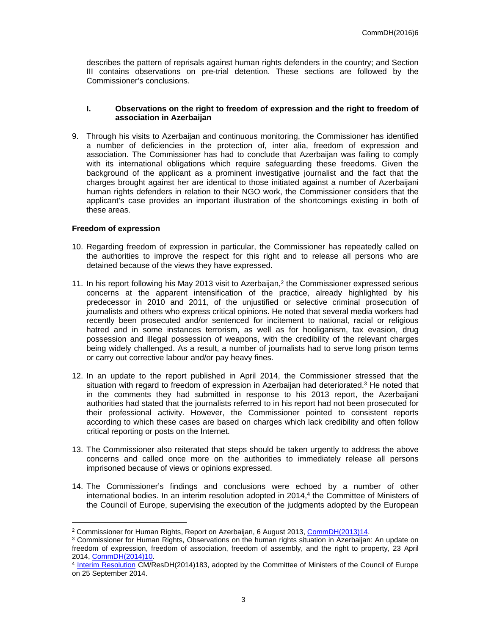describes the pattern of reprisals against human rights defenders in the country; and Section III contains observations on pre-trial detention. These sections are followed by the Commissioner's conclusions.

#### **I. Observations on the right to freedom of expression and the right to freedom of association in Azerbaijan**

9. Through his visits to Azerbaijan and continuous monitoring, the Commissioner has identified a number of deficiencies in the protection of, inter alia, freedom of expression and association. The Commissioner has had to conclude that Azerbaijan was failing to comply with its international obligations which require safeguarding these freedoms. Given the background of the applicant as a prominent investigative journalist and the fact that the charges brought against her are identical to those initiated against a number of Azerbaijani human rights defenders in relation to their NGO work, the Commissioner considers that the applicant's case provides an important illustration of the shortcomings existing in both of these areas.

#### **Freedom of expression**

- 10. Regarding freedom of expression in particular, the Commissioner has repeatedly called on the authorities to improve the respect for this right and to release all persons who are detained because of the views they have expressed.
- 11. In his report following his May 2013 visit to Azerbaijan, $<sup>2</sup>$  the Commissioner expressed serious</sup> concerns at the apparent intensification of the practice, already highlighted by his predecessor in 2010 and 2011, of the unjustified or selective criminal prosecution of journalists and others who express critical opinions. He noted that several media workers had recently been prosecuted and/or sentenced for incitement to national, racial or religious hatred and in some instances terrorism, as well as for hooliganism, tax evasion, drug possession and illegal possession of weapons, with the credibility of the relevant charges being widely challenged. As a result, a number of journalists had to serve long prison terms or carry out corrective labour and/or pay heavy fines.
- 12. In an update to the report published in April 2014, the Commissioner stressed that the situation with regard to freedom of expression in Azerbaijan had deteriorated.<sup>3</sup> He noted that in the comments they had submitted in response to his 2013 report, the Azerbaijani authorities had stated that the journalists referred to in his report had not been prosecuted for their professional activity. However, the Commissioner pointed to consistent reports according to which these cases are based on charges which lack credibility and often follow critical reporting or posts on the Internet.
- 13. The Commissioner also reiterated that steps should be taken urgently to address the above concerns and called once more on the authorities to immediately release all persons imprisoned because of views or opinions expressed.
- 14. The Commissioner's findings and conclusions were echoed by a number of other international bodies. In an interim resolution adopted in 2014,<sup>4</sup> the Committee of Ministers of the Council of Europe, supervising the execution of the judgments adopted by the European

<sup>&</sup>lt;sup>2</sup> Commissioner for Human Rights, Report on Azerbaijan, 6 August 2013, [CommDH\(2013\)14.](https://wcd.coe.int/com.instranet.InstraServlet?command=com.instranet.CmdBlobGet&InstranetImage=2501767&SecMode=1&DocId=2130154&Usage=2)

<sup>&</sup>lt;sup>3</sup> Commissioner for Human Rights, Observations on the human rights situation in Azerbaijan: An update on freedom of expression, freedom of association, freedom of assembly, and the right to property, 23 April 2014, [CommDH\(2014\)10](https://wcd.coe.int/com.instranet.InstraServlet?command=com.instranet.CmdBlobGet&InstranetImage=2540668&SecMode=1&DocId=2150384&Usage=2).

<sup>&</sup>lt;sup>4</sup> [Interim Resolution](https://wcd.coe.int/ViewDoc.jsp?id=2239635&Site=CM) CM/ResDH(2014)183, adopted by the Committee of Ministers of the Council of Europe on 25 September 2014.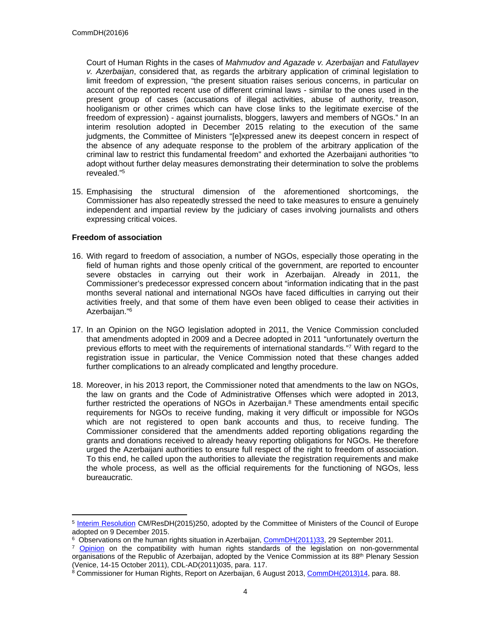Court of Human Rights in the cases of *Mahmudov and Agazade v. Azerbaijan* and *Fatullayev v. Azerbaijan*, considered that, as regards the arbitrary application of criminal legislation to limit freedom of expression, "the present situation raises serious concerns, in particular on account of the reported recent use of different criminal laws - similar to the ones used in the present group of cases (accusations of illegal activities, abuse of authority, treason, hooliganism or other crimes which can have close links to the legitimate exercise of the freedom of expression) - against journalists, bloggers, lawyers and members of NGOs." In an interim resolution adopted in December 2015 relating to the execution of the same judgments, the Committee of Ministers "[e]xpressed anew its deepest concern in respect of the absence of any adequate response to the problem of the arbitrary application of the criminal law to restrict this fundamental freedom" and exhorted the Azerbaijani authorities "to adopt without further delay measures demonstrating their determination to solve the problems revealed."<sup>5</sup>

15. Emphasising the structural dimension of the aforementioned shortcomings, the Commissioner has also repeatedly stressed the need to take measures to ensure a genuinely independent and impartial review by the judiciary of cases involving journalists and others expressing critical voices.

## **Freedom of association**

- 16. With regard to freedom of association, a number of NGOs, especially those operating in the field of human rights and those openly critical of the government, are reported to encounter severe obstacles in carrying out their work in Azerbaijan. Already in 2011, the Commissioner's predecessor expressed concern about "information indicating that in the past months several national and international NGOs have faced difficulties in carrying out their activities freely, and that some of them have even been obliged to cease their activities in Azerbaijan."<sup>6</sup>
- 17. In an Opinion on the NGO legislation adopted in 2011, the Venice Commission concluded that amendments adopted in 2009 and a Decree adopted in 2011 "unfortunately overturn the previous efforts to meet with the requirements of international standards."<sup>7</sup> With regard to the registration issue in particular, the Venice Commission noted that these changes added further complications to an already complicated and lengthy procedure.
- 18. Moreover, in his 2013 report, the Commissioner noted that amendments to the law on NGOs, the law on grants and the Code of Administrative Offenses which were adopted in 2013, further restricted the operations of NGOs in Azerbaijan.<sup>8</sup> These amendments entail specific requirements for NGOs to receive funding, making it very difficult or impossible for NGOs which are not registered to open bank accounts and thus, to receive funding. The Commissioner considered that the amendments added reporting obligations regarding the grants and donations received to already heavy reporting obligations for NGOs. He therefore urged the Azerbaijani authorities to ensure full respect of the right to freedom of association. To this end, he called upon the authorities to alleviate the registration requirements and make the whole process, as well as the official requirements for the functioning of NGOs, less bureaucratic.

<sup>&</sup>lt;sup>5</sup> [Interim Resolution](http://www.coe.int/t/dghl/monitoring/execution/Reports/pendingCases_en.asp?CaseTitleOrNumber=Mahmudov+and+Agazade&StateCode=AZE&SectionCode=) CM/ResDH(2015)250, adopted by the Committee of Ministers of the Council of Europe adopted on 9 December 2015.

<sup>&</sup>lt;sup>6</sup> Observations on the human rights situation in Azerbaijan, [CommDH\(2011\)33](https://wcd.coe.int/ViewDoc.jsp?id=1839497), 29 September 2011.

<sup>&</sup>lt;sup>7</sup> [Opinion](http://www.venice.coe.int/webforms/documents/default.aspx?pdffile=CDL-AD(2011)035-e) on the compatibility with human rights standards of the legislation on non-governmental organisations of the Republic of Azerbaijan, adopted by the Venice Commission at its 88<sup>th</sup> Plenary Session (Venice, 14-15 October 2011), CDL-AD(2011)035, para. 117.

<sup>&</sup>lt;sup>8</sup> Commissioner for Human Rights, Report on Azerbaijan, 6 August 2013, [CommDH\(2013\)14,](https://wcd.coe.int/com.instranet.InstraServlet?command=com.instranet.CmdBlobGet&InstranetImage=2501767&SecMode=1&DocId=2130154&Usage=2) para. 88.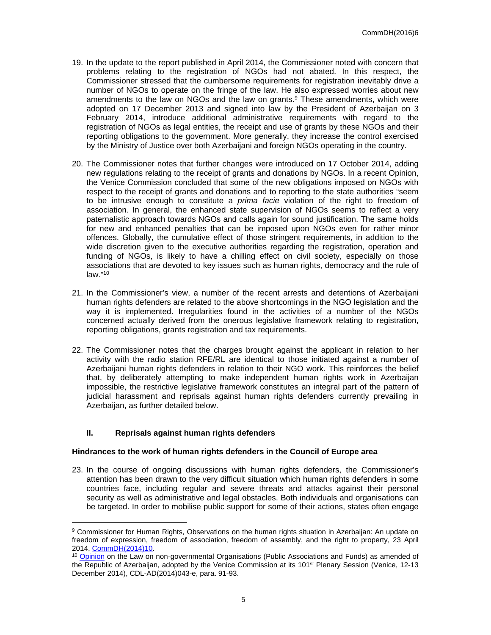- 19. In the update to the report published in April 2014, the Commissioner noted with concern that problems relating to the registration of NGOs had not abated. In this respect, the Commissioner stressed that the cumbersome requirements for registration inevitably drive a number of NGOs to operate on the fringe of the law. He also expressed worries about new amendments to the law on NGOs and the law on grants. $9$  These amendments, which were adopted on 17 December 2013 and signed into law by the President of Azerbaijan on 3 February 2014, introduce additional administrative requirements with regard to the registration of NGOs as legal entities, the receipt and use of grants by these NGOs and their reporting obligations to the government. More generally, they increase the control exercised by the Ministry of Justice over both Azerbaijani and foreign NGOs operating in the country.
- 20. The Commissioner notes that further changes were introduced on 17 October 2014, adding new regulations relating to the receipt of grants and donations by NGOs. In a recent Opinion, the Venice Commission concluded that some of the new obligations imposed on NGOs with respect to the receipt of grants and donations and to reporting to the state authorities "seem to be intrusive enough to constitute a *prima facie* violation of the right to freedom of association. In general, the enhanced state supervision of NGOs seems to reflect a very paternalistic approach towards NGOs and calls again for sound justification. The same holds for new and enhanced penalties that can be imposed upon NGOs even for rather minor offences. Globally, the cumulative effect of those stringent requirements, in addition to the wide discretion given to the executive authorities regarding the registration, operation and funding of NGOs, is likely to have a chilling effect on civil society, especially on those associations that are devoted to key issues such as human rights, democracy and the rule of law."<sup>10</sup>
- 21. In the Commissioner's view, a number of the recent arrests and detentions of Azerbaijani human rights defenders are related to the above shortcomings in the NGO legislation and the way it is implemented. Irregularities found in the activities of a number of the NGOs concerned actually derived from the onerous legislative framework relating to registration, reporting obligations, grants registration and tax requirements.
- 22. The Commissioner notes that the charges brought against the applicant in relation to her activity with the radio station RFE/RL are identical to those initiated against a number of Azerbaijani human rights defenders in relation to their NGO work. This reinforces the belief that, by deliberately attempting to make independent human rights work in Azerbaijan impossible, the restrictive legislative framework constitutes an integral part of the pattern of judicial harassment and reprisals against human rights defenders currently prevailing in Azerbaijan, as further detailed below.

### **II. Reprisals against human rights defenders**

### **Hindrances to the work of human rights defenders in the Council of Europe area**

23. In the course of ongoing discussions with human rights defenders, the Commissioner's attention has been drawn to the very difficult situation which human rights defenders in some countries face, including regular and severe threats and attacks against their personal security as well as administrative and legal obstacles. Both individuals and organisations can be targeted. In order to mobilise public support for some of their actions, states often engage

<sup>9</sup> Commissioner for Human Rights, Observations on the human rights situation in Azerbaijan: An update on freedom of expression, freedom of association, freedom of assembly, and the right to property, 23 April 2014, [CommDH\(2014\)10](https://wcd.coe.int/com.instranet.InstraServlet?command=com.instranet.CmdBlobGet&InstranetImage=2540668&SecMode=1&DocId=2150384&Usage=2).

<sup>&</sup>lt;sup>10</sup> [Opinion](http://www.venice.coe.int/webforms/documents/default.aspx?pdffile=CDL-AD(2014)043-e) on the Law on non-governmental Organisations (Public Associations and Funds) as amended of the Republic of Azerbaijan, adopted by the Venice Commission at its 101st Plenary Session (Venice, 12-13 December 2014), CDL-AD(2014)043-e, para. 91-93.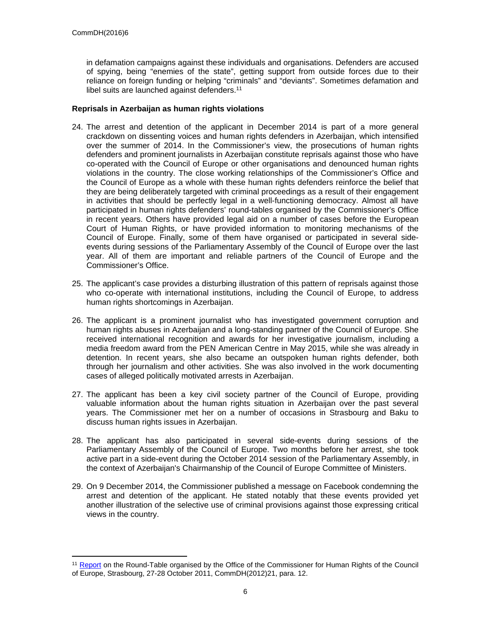in defamation campaigns against these individuals and organisations. Defenders are accused of spying, being "enemies of the state", getting support from outside forces due to their reliance on foreign funding or helping "criminals" and "deviants". Sometimes defamation and libel suits are launched against defenders.<sup>11</sup>

## **Reprisals in Azerbaijan as human rights violations**

- 24. The arrest and detention of the applicant in December 2014 is part of a more general crackdown on dissenting voices and human rights defenders in Azerbaijan, which intensified over the summer of 2014. In the Commissioner's view, the prosecutions of human rights defenders and prominent journalists in Azerbaijan constitute reprisals against those who have co-operated with the Council of Europe or other organisations and denounced human rights violations in the country. The close working relationships of the Commissioner's Office and the Council of Europe as a whole with these human rights defenders reinforce the belief that they are being deliberately targeted with criminal proceedings as a result of their engagement in activities that should be perfectly legal in a well-functioning democracy. Almost all have participated in human rights defenders' round-tables organised by the Commissioner's Office in recent years. Others have provided legal aid on a number of cases before the European Court of Human Rights, or have provided information to monitoring mechanisms of the Council of Europe. Finally, some of them have organised or participated in several sideevents during sessions of the Parliamentary Assembly of the Council of Europe over the last year. All of them are important and reliable partners of the Council of Europe and the Commissioner's Office.
- 25. The applicant's case provides a disturbing illustration of this pattern of reprisals against those who co-operate with international institutions, including the Council of Europe, to address human rights shortcomings in Azerbaijan.
- 26. The applicant is a prominent journalist who has investigated government corruption and human rights abuses in Azerbaijan and a long-standing partner of the Council of Europe. She received international recognition and awards for her investigative journalism, including a media freedom award from the PEN American Centre in May 2015, while she was already in detention. In recent years, she also became an outspoken human rights defender, both through her journalism and other activities. She was also involved in the work documenting cases of alleged politically motivated arrests in Azerbaijan.
- 27. The applicant has been a key civil society partner of the Council of Europe, providing valuable information about the human rights situation in Azerbaijan over the past several years. The Commissioner met her on a number of occasions in Strasbourg and Baku to discuss human rights issues in Azerbaijan.
- 28. The applicant has also participated in several side-events during sessions of the Parliamentary Assembly of the Council of Europe. Two months before her arrest, she took active part in a side-event during the October 2014 session of the Parliamentary Assembly, in the context of Azerbaijan's Chairmanship of the Council of Europe Committee of Ministers.
- 29. On 9 December 2014, the Commissioner published a message on Facebook condemning the arrest and detention of the applicant. He stated notably that these events provided yet another illustration of the selective use of criminal provisions against those expressing critical views in the country.

<sup>&</sup>lt;sup>11</sup> [Report](https://wcd.coe.int/ViewDoc.jsp?Ref=CommDH(2012)21&Language=lanEnglish) on the Round-Table organised by the Office of the Commissioner for Human Rights of the Council of Europe, Strasbourg, 27-28 October 2011, CommDH(2012)21, para. 12.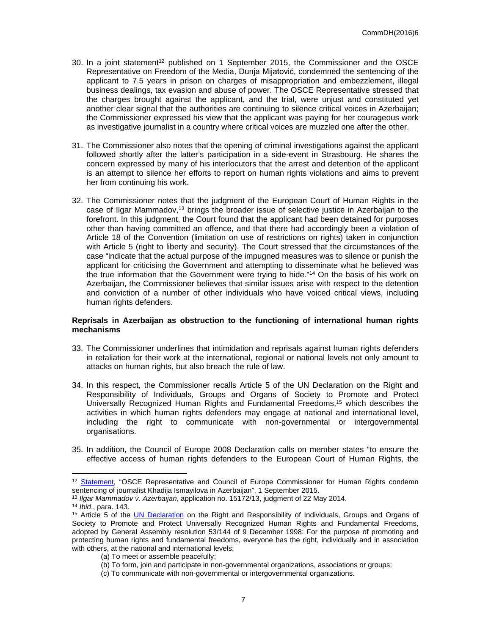- 30. In a joint statement<sup>12</sup> published on 1 September 2015, the Commissioner and the OSCE Representative on Freedom of the Media, Dunja Mijatović, condemned the sentencing of the applicant to 7.5 years in prison on charges of misappropriation and embezzlement, illegal business dealings, tax evasion and abuse of power. The OSCE Representative stressed that the charges brought against the applicant, and the trial, were unjust and constituted yet another clear signal that the authorities are continuing to silence critical voices in Azerbaijan; the Commissioner expressed his view that the applicant was paying for her courageous work as investigative journalist in a country where critical voices are muzzled one after the other.
- 31. The Commissioner also notes that the opening of criminal investigations against the applicant followed shortly after the latter's participation in a side-event in Strasbourg. He shares the concern expressed by many of his interlocutors that the arrest and detention of the applicant is an attempt to silence her efforts to report on human rights violations and aims to prevent her from continuing his work.
- 32. The Commissioner notes that the judgment of the European Court of Human Rights in the case of Ilgar Mammadov,<sup>13</sup> brings the broader issue of selective justice in Azerbaijan to the forefront. In this judgment, the Court found that the applicant had been detained for purposes other than having committed an offence, and that there had accordingly been a violation of Article 18 of the Convention (limitation on use of restrictions on rights) taken in conjunction with Article 5 (right to liberty and security). The Court stressed that the circumstances of the case "indicate that the actual purpose of the impugned measures was to silence or punish the applicant for criticising the Government and attempting to disseminate what he believed was the true information that the Government were trying to hide."<sup>14</sup> On the basis of his work on Azerbaijan, the Commissioner believes that similar issues arise with respect to the detention and conviction of a number of other individuals who have voiced critical views, including human rights defenders.

### **Reprisals in Azerbaijan as obstruction to the functioning of international human rights mechanisms**

- 33. The Commissioner underlines that intimidation and reprisals against human rights defenders in retaliation for their work at the international, regional or national levels not only amount to attacks on human rights, but also breach the rule of law.
- 34. In this respect, the Commissioner recalls Article 5 of the UN Declaration on the Right and Responsibility of Individuals, Groups and Organs of Society to Promote and Protect Universally Recognized Human Rights and Fundamental Freedoms,<sup>15</sup> which describes the activities in which human rights defenders may engage at national and international level, including the right to communicate with non-governmental or intergovernmental organisations.
- 35. In addition, the Council of Europe 2008 Declaration calls on member states "to ensure the effective access of human rights defenders to the European Court of Human Rights, the

<sup>&</sup>lt;sup>12</sup> [Statement,](http://www.coe.int/en/web/commissioner/-/osce-representative-and-council-of-europe-commissioner-for-human-rights-condemn-sentencing-of-journalist-khadija-ismayilova-in-azerbaijan?redirect=http://proxy-www.coe.int/en/web/commissioner/news?p_p_id=101_INSTANCE_easZQ4kHrFrE&p_p_lifecycle=0&p_p_state=normal&p_p_mode=view&p_p_col_id=column-1&p_p_col_count=1) "OSCE Representative and Council of Europe Commissioner for Human Rights condemn sentencing of journalist Khadija Ismayilova in Azerbaijan", 1 September 2015.

<sup>13</sup> *Ilgar Mammadov v. Azerbaijan*, application no. 15172/13, judgment of 22 May 2014.

<sup>14</sup> *Ibid*., para. 143.

<sup>&</sup>lt;sup>15</sup> Article 5 of the [UN Declaration](http://www.ohchr.org/EN/ProfessionalInterest/Pages/RightAndResponsibility.aspx) on the Right and Responsibility of Individuals, Groups and Organs of Society to Promote and Protect Universally Recognized Human Rights and Fundamental Freedoms, adopted by General Assembly resolution 53/144 of 9 December 1998: For the purpose of promoting and protecting human rights and fundamental freedoms, everyone has the right, individually and in association with others, at the national and international levels:

<sup>(</sup>a) To meet or assemble peacefully;

<sup>(</sup>b) To form, join and participate in non-governmental organizations, associations or groups;

<sup>(</sup>c) To communicate with non-governmental or intergovernmental organizations.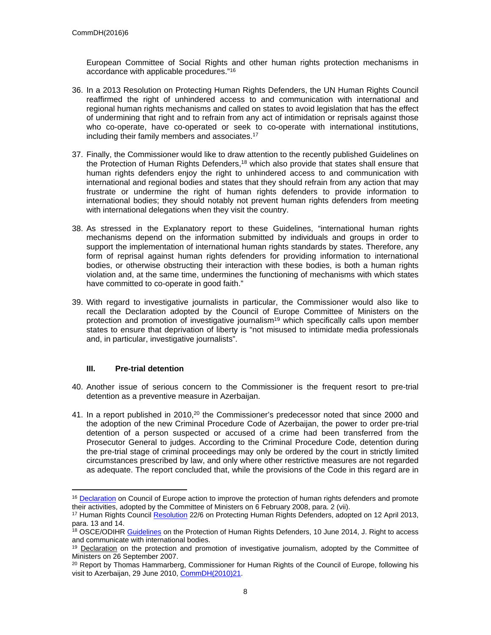European Committee of Social Rights and other human rights protection mechanisms in accordance with applicable procedures."<sup>16</sup>

- 36. In a 2013 Resolution on Protecting Human Rights Defenders, the UN Human Rights Council reaffirmed the right of unhindered access to and communication with international and regional human rights mechanisms and called on states to avoid legislation that has the effect of undermining that right and to refrain from any act of intimidation or reprisals against those who co-operate, have co-operated or seek to co-operate with international institutions, including their family members and associates.<sup>17</sup>
- 37. Finally, the Commissioner would like to draw attention to the recently published Guidelines on the Protection of Human Rights Defenders,<sup>18</sup> which also provide that states shall ensure that human rights defenders enjoy the right to unhindered access to and communication with international and regional bodies and states that they should refrain from any action that may frustrate or undermine the right of human rights defenders to provide information to international bodies; they should notably not prevent human rights defenders from meeting with international delegations when they visit the country.
- 38. As stressed in the Explanatory report to these Guidelines, "international human rights mechanisms depend on the information submitted by individuals and groups in order to support the implementation of international human rights standards by states. Therefore, any form of reprisal against human rights defenders for providing information to international bodies, or otherwise obstructing their interaction with these bodies, is both a human rights violation and, at the same time, undermines the functioning of mechanisms with which states have committed to co-operate in good faith."
- 39. With regard to investigative journalists in particular, the Commissioner would also like to recall the Declaration adopted by the Council of Europe Committee of Ministers on the protection and promotion of investigative journalism<sup>19</sup> which specifically calls upon member states to ensure that deprivation of liberty is "not misused to intimidate media professionals and, in particular, investigative journalists".

### **III. Pre-trial detention**

- 40. Another issue of serious concern to the Commissioner is the frequent resort to pre-trial detention as a preventive measure in Azerbaijan.
- 41. In a report published in  $2010$ ,<sup>20</sup> the Commissioner's predecessor noted that since 2000 and the adoption of the new Criminal Procedure Code of Azerbaijan, the power to order pre-trial detention of a person suspected or accused of a crime had been transferred from the Prosecutor General to judges. According to the Criminal Procedure Code, detention during the pre-trial stage of criminal proceedings may only be ordered by the court in strictly limited circumstances prescribed by law, and only where other restrictive measures are not regarded as adequate. The report concluded that, while the provisions of the Code in this regard are in

<sup>&</sup>lt;sup>16</sup> [Declaration](https://wcd.coe.int/ViewDoc.jsp?id=1245887&Site=CM) on Council of Europe action to improve the protection of human rights defenders and promote their activities, adopted by the Committee of Ministers on 6 February 2008, para. 2 (vii).

<sup>&</sup>lt;sup>17</sup> Human Rights Council [Resolution](http://ap.ohchr.org/documents/dpage_e.aspx?si=A/HRC/RES/22/6) 22/6 on Protecting Human Rights Defenders, adopted on 12 April 2013, para. 13 and 14.

<sup>&</sup>lt;sup>18</sup> OSCE/ODIHR [Guidelines](http://www.osce.org/odihr/119633?download=true) on the Protection of Human Rights Defenders, 10 June 2014, J. Right to access and communicate with international bodies.

<sup>&</sup>lt;sup>19</sup> [Declaration](https://wcd.coe.int/ViewDoc.jsp?Ref=Decl-26.09.2007&Language=lanEnglish&Ver=original&Site=CM&BackColorInternet=9999CC&BackColorIntranet=FFBB55&BackColorLogged=FFAC75) on the protection and promotion of investigative journalism, adopted by the Committee of Ministers on 26 September 2007.

<sup>&</sup>lt;sup>20</sup> Report by Thomas Hammarberg, Commissioner for Human Rights of the Council of Europe, following his visit to Azerbaijan, 29 June 2010, [CommDH\(2010\)21](http://www.coe.int/en/web/commissioner/country-monitoring-azerbaijan/-/asset_publisher/RrDRPKESORE4/content/report-on-visit-to-azerbaijan-2010-?redirect=http%3A%2F%2Fwww.coe.int%2Fen%2Fweb%2Fcommissioner%2Fcountry-monitoring-azerbaijan%3Fp_p_id%3D101_INSTANCE_RrDRPKESORE4%26p_p_lifecycle%3D0%26p_p_state%3Dnormal%26p_p_mode%3Dview%26p_p_col_id%3Dcolumn-1%26p_p_col_count%3D1&inheritRedirect=true).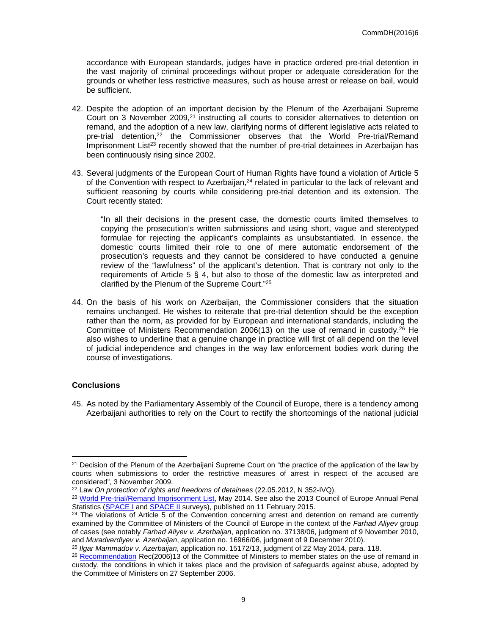accordance with European standards, judges have in practice ordered pre-trial detention in the vast majority of criminal proceedings without proper or adequate consideration for the grounds or whether less restrictive measures, such as house arrest or release on bail, would be sufficient.

- 42. Despite the adoption of an important decision by the Plenum of the Azerbaijani Supreme Court on 3 November 2009,<sup>21</sup> instructing all courts to consider alternatives to detention on remand, and the adoption of a new law, clarifying norms of different legislative acts related to pre-trial detention,<sup>22</sup> the Commissioner observes that the World Pre-trial/Remand Imprisonment List<sup>23</sup> recently showed that the number of pre-trial detainees in Azerbaijan has been continuously rising since 2002.
- 43. Several judgments of the European Court of Human Rights have found a violation of Article 5 of the Convention with respect to Azerbaijan, $24$  related in particular to the lack of relevant and sufficient reasoning by courts while considering pre-trial detention and its extension. The Court recently stated:

"In all their decisions in the present case, the domestic courts limited themselves to copying the prosecution's written submissions and using short, vague and stereotyped formulae for rejecting the applicant's complaints as unsubstantiated. In essence, the domestic courts limited their role to one of mere automatic endorsement of the prosecution's requests and they cannot be considered to have conducted a genuine review of the "lawfulness" of the applicant's detention. That is contrary not only to the requirements of Article 5 § 4, but also to those of the domestic law as interpreted and clarified by the Plenum of the Supreme Court."<sup>25</sup>

44. On the basis of his work on Azerbaijan, the Commissioner considers that the situation remains unchanged. He wishes to reiterate that pre-trial detention should be the exception rather than the norm, as provided for by European and international standards, including the Committee of Ministers Recommendation 2006(13) on the use of remand in custody.<sup>26</sup> He also wishes to underline that a genuine change in practice will first of all depend on the level of judicial independence and changes in the way law enforcement bodies work during the course of investigations.

### **Conclusions**

45. As noted by the Parliamentary Assembly of the Council of Europe, there is a tendency among Azerbaijani authorities to rely on the Court to rectify the shortcomings of the national judicial

<sup>&</sup>lt;sup>21</sup> Decision of the Plenum of the Azerbaijani Supreme Court on "the practice of the application of the law by courts when submissions to order the restrictive measures of arrest in respect of the accused are considered", 3 November 2009.

<sup>22</sup> Law *On protection of rights and freedoms of detainees* (22.05.2012, N 352‐IVQ).

<sup>&</sup>lt;sup>23</sup> [World Pre-trial/Remand Imprisonment List](http://www.prisonstudies.org/sites/prisonstudies.org/files/resources/downloads/world_pre-trial_imprisonment_list_2nd_edition_1.pdf), May 2014. See also the 2013 Council of Europe Annual Penal Statistics [\(SPACE I](http://www3.unil.ch/wpmu/space/space-i/annual-reports/#_blank) and [SPACE II](http://www3.unil.ch/wpmu/space/space-ii/annual-reports/#_blank) surveys), published on 11 February 2015.

<sup>&</sup>lt;sup>24</sup> The violations of Article 5 of the Convention concerning arrest and detention on remand are currently examined by the Committee of Ministers of the Council of Europe in the context of the *Farhad Aliyev* group of cases (see notably *Farhad Aliyev v. Azerbaijan*, application no. 37138/06, judgment of 9 November 2010, and *Muradverdiyev v. Azerbaijan*, application no. 16966/06, judgment of 9 December 2010).

<sup>25</sup> *Ilgar Mammadov v. Azerbaijan*, application no. 15172/13, judgment of 22 May 2014, para. 118.

<sup>&</sup>lt;sup>26</sup> [Recommendation](https://wcd.coe.int/ViewDoc.jsp?id=1041281) Rec(2006)13 of the Committee of Ministers to member states on the use of remand in custody, the conditions in which it takes place and the provision of safeguards against abuse, adopted by the Committee of Ministers on 27 September 2006.